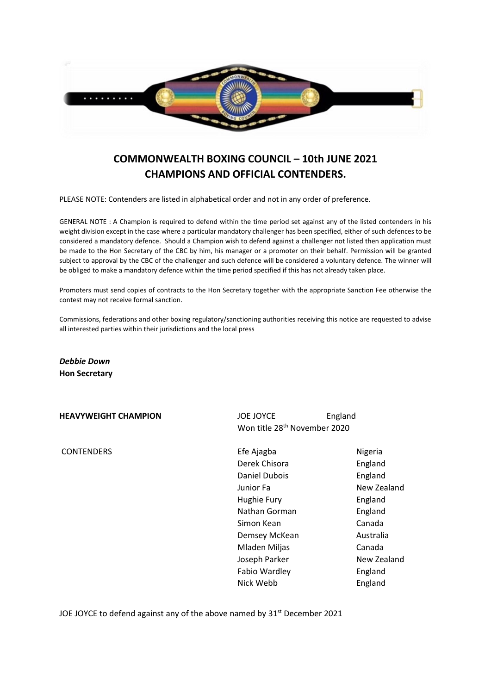

# **COMMONWEALTH BOXING COUNCIL – 10th JUNE 2021 CHAMPIONS AND OFFICIAL CONTENDERS.**

PLEASE NOTE: Contenders are listed in alphabetical order and not in any order of preference.

GENERAL NOTE : A Champion is required to defend within the time period set against any of the listed contenders in his weight division except in the case where a particular mandatory challenger has been specified, either of such defences to be considered a mandatory defence. Should a Champion wish to defend against a challenger not listed then application must be made to the Hon Secretary of the CBC by him, his manager or a promoter on their behalf. Permission will be granted subject to approval by the CBC of the challenger and such defence will be considered a voluntary defence. The winner will be obliged to make a mandatory defence within the time period specified if this has not already taken place.

Promoters must send copies of contracts to the Hon Secretary together with the appropriate Sanction Fee otherwise the contest may not receive formal sanction.

Commissions, federations and other boxing regulatory/sanctioning authorities receiving this notice are requested to advise all interested parties within their jurisdictions and the local press

*Debbie Down*  **Hon Secretary** 

| <b>HEAVYWEIGHT CHAMPION</b> |  |
|-----------------------------|--|
|-----------------------------|--|

**JOE JOYCE** England Won title 28<sup>th</sup> November 2020

CONTENDERS **Efe Ajagba** Nigeria Derek Chisora **England** Daniel Dubois England Junior Fa New Zealand Hughie Fury **England** Nathan Gorman **England** Simon Kean Canada Demsey McKean Australia Mladen Miljas Canada Joseph Parker New Zealand Fabio Wardley **England** Nick Webb England

JOE JOYCE to defend against any of the above named by 31<sup>st</sup> December 2021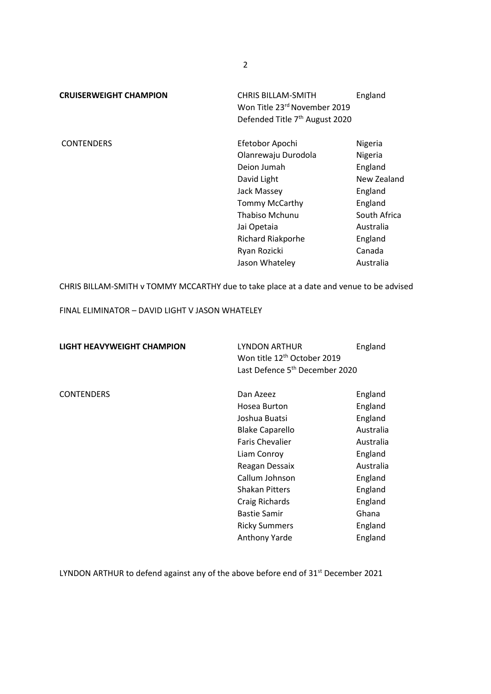| <b>CHRIS BILLAM-SMITH</b><br>Won Title 23rd November 2019<br>Defended Title 7 <sup>th</sup> August 2020 | England      |
|---------------------------------------------------------------------------------------------------------|--------------|
| Efetobor Apochi                                                                                         | Nigeria      |
| Olanrewaju Durodola                                                                                     | Nigeria      |
| Deion Jumah                                                                                             | England      |
| David Light                                                                                             | New Zealand  |
| Jack Massey                                                                                             | England      |
| Tommy McCarthy                                                                                          | England      |
| Thabiso Mchunu                                                                                          | South Africa |
| Jai Opetaia                                                                                             | Australia    |
| Richard Riakporhe                                                                                       | England      |
| Ryan Rozicki                                                                                            | Canada       |
| Jason Whateley                                                                                          | Australia    |
|                                                                                                         |              |

CHRIS BILLAM-SMITH v TOMMY MCCARTHY due to take place at a date and venue to be advised

FINAL ELIMINATOR – DAVID LIGHT V JASON WHATELEY

| <b>LIGHT HEAVYWEIGHT CHAMPION</b> | LYNDON ARTHUR<br>Won title 12 <sup>th</sup> October 2019<br>Last Defence 5 <sup>th</sup> December 2020 | England   |
|-----------------------------------|--------------------------------------------------------------------------------------------------------|-----------|
| <b>CONTENDERS</b>                 | Dan Azeez                                                                                              | England   |
|                                   | Hosea Burton                                                                                           | England   |
|                                   | Joshua Buatsi                                                                                          | England   |
|                                   | <b>Blake Caparello</b>                                                                                 | Australia |
|                                   | <b>Faris Chevalier</b>                                                                                 | Australia |
|                                   | Liam Conroy                                                                                            | England   |
|                                   | Reagan Dessaix                                                                                         | Australia |
|                                   | Callum Johnson                                                                                         | England   |
|                                   | <b>Shakan Pitters</b>                                                                                  | England   |
|                                   | Craig Richards                                                                                         | England   |
|                                   | <b>Bastie Samir</b>                                                                                    | Ghana     |
|                                   | <b>Ricky Summers</b>                                                                                   | England   |
|                                   | <b>Anthony Yarde</b>                                                                                   | England   |
|                                   |                                                                                                        |           |

LYNDON ARTHUR to defend against any of the above before end of 31<sup>st</sup> December 2021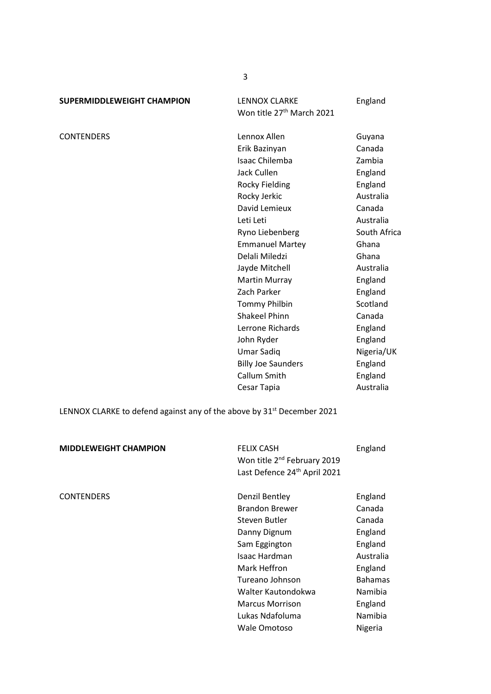**SUPERMIDDLEWEIGHT CHAMPION LENNOX CLARKE England** 

Won title 27<sup>th</sup> March 2021

CONTENDERS Lennox Allen CONTENDERS Erik Bazinyan Canada Isaac Chilemba Zambia Jack Cullen **England** Rocky Fielding **England** Rocky Jerkic **Australia** David Lemieux Canada Leti Leti **Australia** Ryno Liebenberg South Africa Emmanuel Martey Ghana Delali Miledzi **Ghana** Jayde Mitchell **Australia** Martin Murray **England** Zach Parker **England** Tommy Philbin Scotland Shakeel Phinn Canada Lerrone Richards England John Ryder **England** Umar Sadiq Nigeria/UK Billy Joe Saunders **England** Callum Smith England Cesar Tapia **Australia** 

LENNOX CLARKE to defend against any of the above by 31<sup>st</sup> December 2021

| <b>MIDDLEWEIGHT CHAMPION</b> | <b>FELIX CASH</b><br>Won title 2 <sup>nd</sup> February 2019<br>Last Defence 24th April 2021 | England        |
|------------------------------|----------------------------------------------------------------------------------------------|----------------|
| <b>CONTENDERS</b>            | Denzil Bentley                                                                               | England        |
|                              | <b>Brandon Brewer</b>                                                                        | Canada         |
|                              | Steven Butler                                                                                | Canada         |
|                              | Danny Dignum                                                                                 | England        |
|                              | Sam Eggington                                                                                | England        |
|                              | <b>Isaac Hardman</b>                                                                         | Australia      |
|                              | Mark Heffron                                                                                 | England        |
|                              | Tureano Johnson                                                                              | <b>Bahamas</b> |
|                              | Walter Kautondokwa                                                                           | Namibia        |
|                              | <b>Marcus Morrison</b>                                                                       | England        |
|                              | Lukas Ndafoluma                                                                              | Namibia        |
|                              | Wale Omotoso                                                                                 | Nigeria        |

3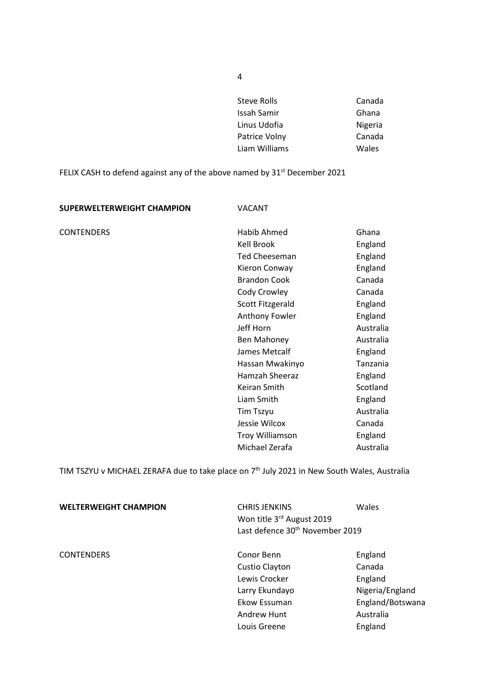| Steve Rolls   | Canada  |
|---------------|---------|
| Issah Samir   | Ghana   |
| Linus Udofia  | Nigeria |
| Patrice Volny | Canada  |
| Liam Williams | Wales   |
|               |         |

FELIX CASH to defend against any of the above named by  $31<sup>st</sup>$  December 2021

| SUPERWELTERWEIGHT CHAMPION | <b>VACANT</b>          |           |
|----------------------------|------------------------|-----------|
| <b>CONTENDERS</b>          | Habib Ahmed            | Ghana     |
|                            | Kell Brook             | England   |
|                            | <b>Ted Cheeseman</b>   | England   |
|                            | Kieron Conway          | England   |
|                            | <b>Brandon Cook</b>    | Canada    |
|                            | Cody Crowley           | Canada    |
|                            | Scott Fitzgerald       | England   |
|                            | Anthony Fowler         | England   |
|                            | Jeff Horn              | Australia |
|                            | Ben Mahoney            | Australia |
|                            | James Metcalf          | England   |
|                            | Hassan Mwakinyo        | Tanzania  |
|                            | Hamzah Sheeraz         | England   |
|                            | Keiran Smith           | Scotland  |
|                            | Liam Smith             | England   |
|                            | <b>Tim Tszyu</b>       | Australia |
|                            | Jessie Wilcox          | Canada    |
|                            | <b>Troy Williamson</b> | England   |
|                            | Michael Zerafa         | Australia |

TIM TSZYU v MICHAEL ZERAFA due to take place on  $7<sup>th</sup>$  July 2021 in New South Wales, Australia

| <b>WELTERWEIGHT CHAMPION</b> | <b>CHRIS JENKINS</b><br>Won title 3rd August 2019<br>Last defence 30 <sup>th</sup> November 2019               | Wales                                                                                       |
|------------------------------|----------------------------------------------------------------------------------------------------------------|---------------------------------------------------------------------------------------------|
| <b>CONTENDERS</b>            | Conor Benn<br>Custio Clayton<br>Lewis Crocker<br>Larry Ekundayo<br>Ekow Essuman<br>Andrew Hunt<br>Louis Greene | England<br>Canada<br>England<br>Nigeria/England<br>England/Botswana<br>Australia<br>England |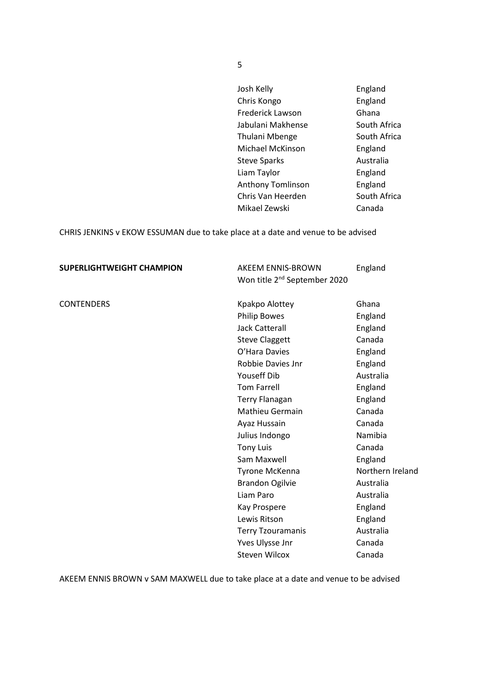| Josh Kelly              | England      |
|-------------------------|--------------|
| Chris Kongo             | England      |
| <b>Frederick Lawson</b> | Ghana        |
| Jabulani Makhense       | South Africa |
| Thulani Mbenge          | South Africa |
| Michael McKinson        | England      |
| <b>Steve Sparks</b>     | Australia    |
| Liam Taylor             | England      |
| Anthony Tomlinson       | England      |
| Chris Van Heerden       | South Africa |
| Mikael Zewski           | Canada       |

CHRIS JENKINS v EKOW ESSUMAN due to take place at a date and venue to be advised

| <b>SUPERLIGHTWEIGHT CHAMPION</b> | AKEEM ENNIS-BROWN                        | England          |
|----------------------------------|------------------------------------------|------------------|
|                                  | Won title 2 <sup>nd</sup> September 2020 |                  |
| <b>CONTENDERS</b>                | Kpakpo Alottey                           | Ghana            |
|                                  | <b>Philip Bowes</b>                      | England          |
|                                  | <b>Jack Catterall</b>                    | England          |
|                                  | <b>Steve Claggett</b>                    | Canada           |
|                                  | O'Hara Davies                            | England          |
|                                  | Robbie Davies Jnr                        | England          |
|                                  | Youseff Dib                              | Australia        |
|                                  | <b>Tom Farrell</b>                       | England          |
|                                  | <b>Terry Flanagan</b>                    | England          |
|                                  | <b>Mathieu Germain</b>                   | Canada           |
|                                  | Ayaz Hussain                             | Canada           |
|                                  | Julius Indongo                           | Namibia          |
|                                  | <b>Tony Luis</b>                         | Canada           |
|                                  | Sam Maxwell                              | England          |
|                                  | Tyrone McKenna                           | Northern Ireland |
|                                  | <b>Brandon Ogilvie</b>                   | Australia        |
|                                  | Liam Paro                                | Australia        |
|                                  | Kay Prospere                             | England          |
|                                  | Lewis Ritson                             | England          |
|                                  | <b>Terry Tzouramanis</b>                 | Australia        |
|                                  | Yves Ulysse Jnr                          | Canada           |
|                                  | <b>Steven Wilcox</b>                     | Canada           |

AKEEM ENNIS BROWN v SAM MAXWELL due to take place at a date and venue to be advised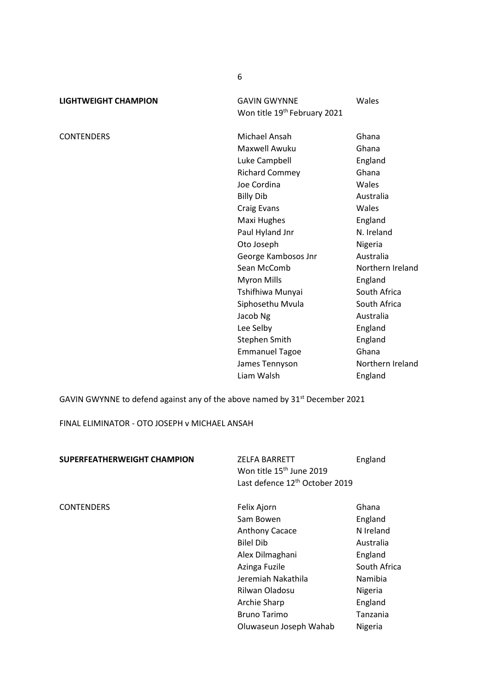| LIGHTWEIGHT CHAMPION | <b>GAVIN GWYNNE</b>                      | Wales |
|----------------------|------------------------------------------|-------|
|                      | Won title 19 <sup>th</sup> February 2021 |       |

CONTENDERS Michael Ansah Ghana Maxwell Awuku Ghana Luke Campbell **England** Richard Commey Ghana Joe Cordina **Wales** Billy Dib Australia Craig Evans Wales Maxi Hughes **England** Paul Hyland Jnr N. Ireland Oto Joseph Nigeria George Kambosos Jnr Australia Sean McComb Northern Ireland Myron Mills **England** Tshifhiwa Munyai **South Africa** Siphosethu Mvula South Africa Jacob Ng **Australia** Lee Selby **England** Stephen Smith England Emmanuel Tagoe Ghana James Tennyson Northern Ireland Liam Walsh **England** 

GAVIN GWYNNE to defend against any of the above named by 31<sup>st</sup> December 2021

FINAL ELIMINATOR - OTO JOSEPH v MICHAEL ANSAH

| <b>SUPERFEATHERWEIGHT CHAMPION</b> | <b>ZELFA BARRETT</b><br>Won title 15 <sup>th</sup> June 2019<br>Last defence 12 <sup>th</sup> October 2019 | England      |
|------------------------------------|------------------------------------------------------------------------------------------------------------|--------------|
| <b>CONTENDERS</b>                  | Felix Ajorn                                                                                                | Ghana        |
|                                    | Sam Bowen                                                                                                  | England      |
|                                    | <b>Anthony Cacace</b>                                                                                      | N Ireland    |
|                                    | <b>Bilel Dib</b>                                                                                           | Australia    |
|                                    | Alex Dilmaghani                                                                                            | England      |
|                                    | Azinga Fuzile                                                                                              | South Africa |
|                                    | Jeremiah Nakathila                                                                                         | Namibia      |
|                                    | Rilwan Oladosu                                                                                             | Nigeria      |
|                                    | Archie Sharp                                                                                               | England      |
|                                    | <b>Bruno Tarimo</b>                                                                                        | Tanzania     |
|                                    | Oluwaseun Joseph Wahab                                                                                     | Nigeria      |

6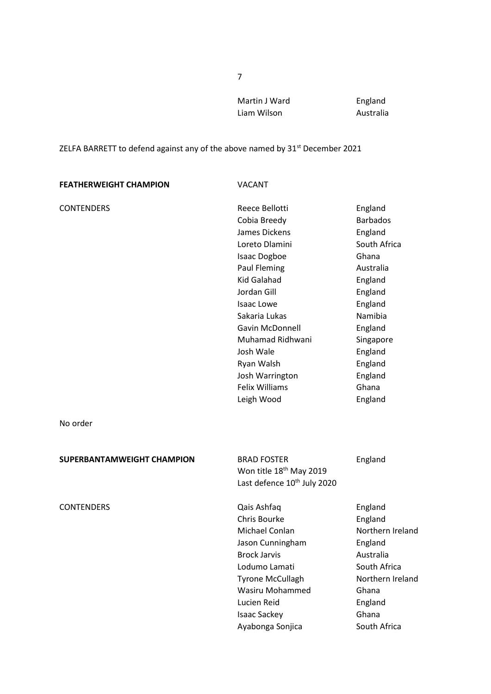Martin J Ward **England** Liam Wilson **Australia** 

## ZELFA BARRETT to defend against any of the above named by 31<sup>st</sup> December 2021

| <b>FEATHERWEIGHT CHAMPION</b>     | <b>VACANT</b>                                                                                                                                                                                                                                                                                            |                                                                                                                                                                                                      |
|-----------------------------------|----------------------------------------------------------------------------------------------------------------------------------------------------------------------------------------------------------------------------------------------------------------------------------------------------------|------------------------------------------------------------------------------------------------------------------------------------------------------------------------------------------------------|
| <b>CONTENDERS</b>                 | Reece Bellotti<br>Cobia Breedy<br>James Dickens<br>Loreto Dlamini<br>Isaac Dogboe<br>Paul Fleming<br><b>Kid Galahad</b><br>Jordan Gill<br><b>Isaac Lowe</b><br>Sakaria Lukas<br>Gavin McDonnell<br>Muhamad Ridhwani<br>Josh Wale<br>Ryan Walsh<br>Josh Warrington<br><b>Felix Williams</b><br>Leigh Wood | England<br><b>Barbados</b><br>England<br>South Africa<br>Ghana<br>Australia<br>England<br>England<br>England<br>Namibia<br>England<br>Singapore<br>England<br>England<br>England<br>Ghana<br>England |
| No order                          |                                                                                                                                                                                                                                                                                                          |                                                                                                                                                                                                      |
| <b>SUPERBANTAMWEIGHT CHAMPION</b> | <b>BRAD FOSTER</b><br>Won title 18 <sup>th</sup> May 2019<br>Last defence 10 <sup>th</sup> July 2020                                                                                                                                                                                                     | England                                                                                                                                                                                              |
| <b>CONTENDERS</b>                 | Qais Ashfaq<br><b>Chris Bourke</b><br>Michael Conlan<br>Jason Cunningham<br><b>Brock Jarvis</b><br>Lodumo Lamati<br><b>Tyrone McCullagh</b><br><b>Wasiru Mohammed</b><br>Lucien Reid<br>Isaac Sackey<br>Ayabonga Sonjica                                                                                 | England<br>England<br>Northern Ireland<br>England<br>Australia<br>South Africa<br>Northern Ireland<br>Ghana<br>England<br>Ghana<br>South Africa                                                      |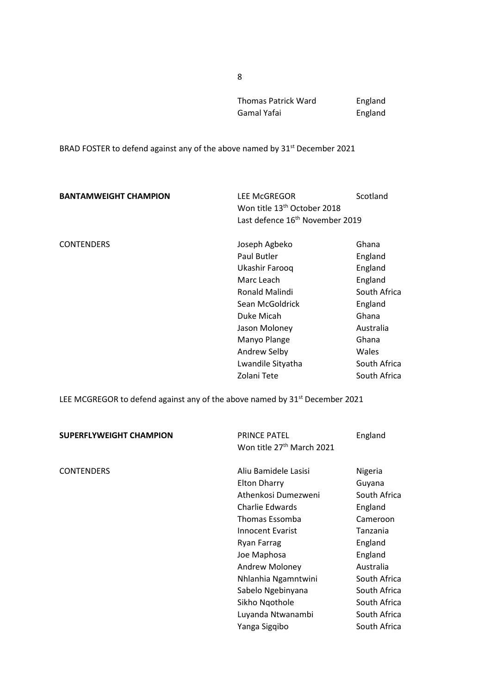Thomas Patrick Ward **England** Gamal Yafai **England** 

BRAD FOSTER to defend against any of the above named by 31<sup>st</sup> December 2021

| <b>BANTAMWEIGHT CHAMPION</b> | <b>LEE McGREGOR</b><br>Won title 13 <sup>th</sup> October 2018<br>Last defence 16 <sup>th</sup> November 2019                                                                                        | Scotland                                                                                                                                  |
|------------------------------|------------------------------------------------------------------------------------------------------------------------------------------------------------------------------------------------------|-------------------------------------------------------------------------------------------------------------------------------------------|
| <b>CONTENDERS</b>            | Joseph Agbeko<br>Paul Butler<br>Ukashir Farooq<br>Marc Leach<br>Ronald Malindi<br>Sean McGoldrick<br>Duke Micah<br>Jason Moloney<br>Manyo Plange<br>Andrew Selby<br>Lwandile Sityatha<br>Zolani Tete | Ghana<br>England<br>England<br>England<br>South Africa<br>England<br>Ghana<br>Australia<br>Ghana<br>Wales<br>South Africa<br>South Africa |

LEE MCGREGOR to defend against any of the above named by 31<sup>st</sup> December 2021

| <b>SUPERFLYWEIGHT CHAMPION</b> | <b>PRINCE PATEL</b><br>Won title 27 <sup>th</sup> March 2021                                                                                                                                                                                                                           | England                                                                                                                                                                                 |
|--------------------------------|----------------------------------------------------------------------------------------------------------------------------------------------------------------------------------------------------------------------------------------------------------------------------------------|-----------------------------------------------------------------------------------------------------------------------------------------------------------------------------------------|
| <b>CONTENDERS</b>              | Aliu Bamidele Lasisi<br><b>Elton Dharry</b><br>Athenkosi Dumezweni<br>Charlie Edwards<br>Thomas Essomba<br>Innocent Evarist<br>Ryan Farrag<br>Joe Maphosa<br><b>Andrew Moloney</b><br>Nhlanhia Ngamntwini<br>Sabelo Ngebinyana<br>Sikho Nqothole<br>Luyanda Ntwanambi<br>Yanga Sigqibo | Nigeria<br>Guyana<br>South Africa<br>England<br>Cameroon<br>Tanzania<br>England<br>England<br>Australia<br>South Africa<br>South Africa<br>South Africa<br>South Africa<br>South Africa |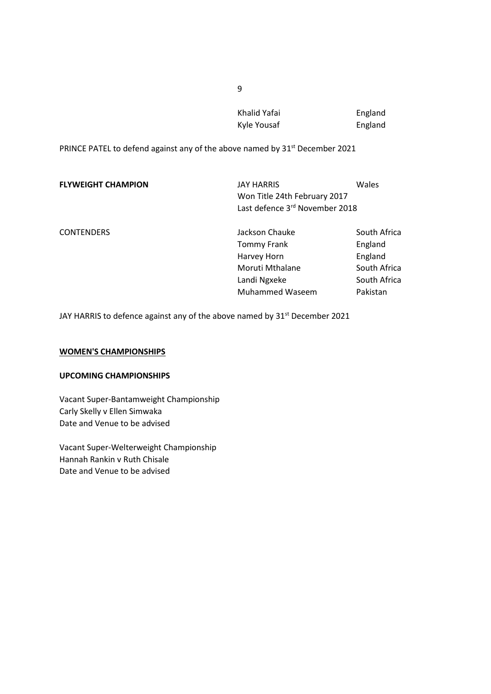| Khalid Yafai | England |
|--------------|---------|
| Kyle Yousaf  | England |

PRINCE PATEL to defend against any of the above named by 31<sup>st</sup> December 2021

| <b>FLYWEIGHT CHAMPION</b> | JAY HARRIS<br>Won Title 24th February 2017<br>Last defence 3rd November 2018 | Wales        |
|---------------------------|------------------------------------------------------------------------------|--------------|
| <b>CONTENDERS</b>         | Jackson Chauke                                                               | South Africa |
|                           | <b>Tommy Frank</b>                                                           | England      |
|                           | Harvey Horn                                                                  | England      |
|                           | Moruti Mthalane                                                              | South Africa |
|                           | Landi Ngxeke                                                                 | South Africa |
|                           | <b>Muhammed Waseem</b>                                                       | Pakistan     |

JAY HARRIS to defence against any of the above named by 31<sup>st</sup> December 2021

#### **WOMEN'S CHAMPIONSHIPS**

### **UPCOMING CHAMPIONSHIPS**

Vacant Super-Bantamweight Championship Carly Skelly v Ellen Simwaka Date and Venue to be advised

Vacant Super-Welterweight Championship Hannah Rankin v Ruth Chisale Date and Venue to be advised